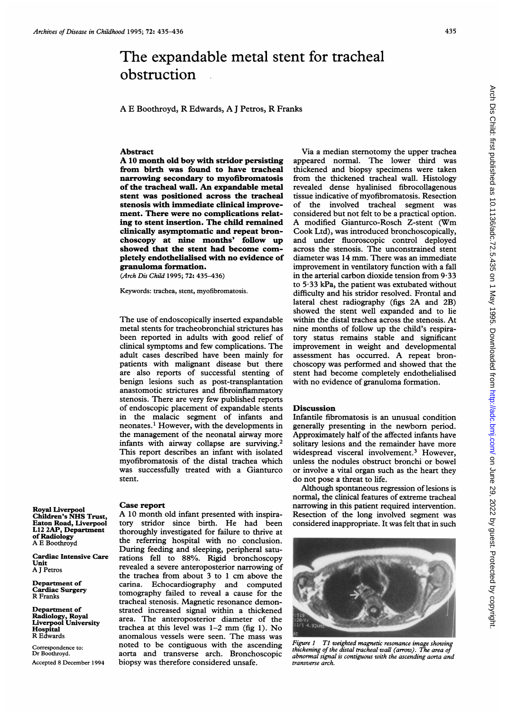## The expandable metal stent for tracheal obstruction  $\mathbb{R}^2$

A E Boothroyd, R Edwards, A <sup>J</sup> Petros, R Franks

## Abstract

A <sup>10</sup> month old boy with stridor persisting from birth was found to have tracheal narrowing secondary to myofibromatosis of the tracheal wall. An expandable metal stent was positioned across the tracheal stenosis with immediate clinical improvement. There were no complications relating to stent insertion. The child remained clinically asymptomatic and repeat bronchoscopy at nine months' foliow up showed that the stent had become completely endothelialised with no evidence of granuloma formation.

(Arch Dis Child 1995; 72: 435-436)

Keywords: trachea, stent, myofibromatosis.

The use of endoscopically inserted expandable metal stents for tracheobronchial strictures has been reported in adults with good relief of clinical symptoms and few complications. The adult cases described have been mainly for patients with malignant disease but there are also reports of successful stenting of benign lesions such as post-transplantation anastomotic strictures and fibroinflammatory stenosis. There are very few published reports of endoscopic placement of expandable stents in the malacic segment of infants and neonates.' However, with the developments in the management of the neonatal airway more infants with airway collapse are surviving.2 This report describes an infant with isolated myofibromatosis of the distal trachea which was successfully treated with a Gianturco stent.

Royal Liverpool Children's NHS Trust, Eaton Road, Liverpool L12 2AP, Department of Radiology A E Boothroyd

Cardiac Intensive Care Unit A <sup>J</sup> Petros

Department of Cardiac Surgery R Franks

Department of Radiology, Royal Liverpool University **Hospital**<br>R Edwards

Correspondence to: Dr Boothroyd. Accepted 8 December 1994

## Case report

A <sup>10</sup> month old infant presented with inspiratory stridor since birth. He had been thoroughly investigated for failure to thrive at the referring hospital with no conclusion. During feeding and sleeping, peripheral saturations fell to 88%. Rigid bronchoscopy revealed a severe anteroposterior narrowing of the trachea from about 3 to <sup>1</sup> cm above the carina. Echocardiography and computed tomography failed to reveal a cause for the tracheal stenosis. Magnetic resonance demonstrated increased signal within a thickened area. The anteroposterior diameter of the trachea at this level was 1-2 mm (fig 1). No anomalous vessels were seen. The mass was noted to be contiguous with the ascending aorta and transverse arch. Bronchoscopic biopsy was therefore considered unsafe.

Via a median sternotomy the upper trachea appeared normal. The lower third was thickened and biopsy specimens were taken from the thickened tracheal wall. Histology revealed dense hyalinised fibrocollagenous tissue indicative of myofibromatosis. Resection of the involved tracheal segment was considered but not felt to be a practical option. A modified Gianturco-Rosch Z-stent (Wm Cook Ltd), was introduced bronchoscopically, and under fluoroscopic control deployed across the stenosis. The unconstrained stent diameter was 14 mm. There was an immediate improvement in ventilatory function with a fall in the arterial carbon dioxide tension from  $9.33$ to 5-33 kPa, the patient was extubated without difficulty and his stridor resolved. Frontal and lateral chest radiography (figs 2A and 2B) showed the stent well expanded and to lie within the distal trachea across the stenosis. At nine months of follow up the child's respiratory status remains stable and significant improvement in weight and developmental assessment has occurred. A repeat bronchoscopy was performed and showed that the stent had become completely endothelialised with no evidence of granuloma formation.

## **Discussion**

Infantile fibromatosis is an unusual condition generally presenting in the newborn period. Approximately half of the affected infants have solitary lesions and the remainder have more widespread visceral involvement.<sup>3</sup> However, unless the nodules obstruct bronchi or bowel or involve a vital organ such as the heart they do not pose a threat to life.

Although spontaneous regression of lesions is normal, the clinical features of extreme tracheal narrowing in this patient required intervention. Resection of the long involved segment was considered inappropriate. It was felt that in such



thickening of the distal tracheal wa1l (arrow). The area of abnormal signal is contiguous with the ascending aorta and transverse arch.